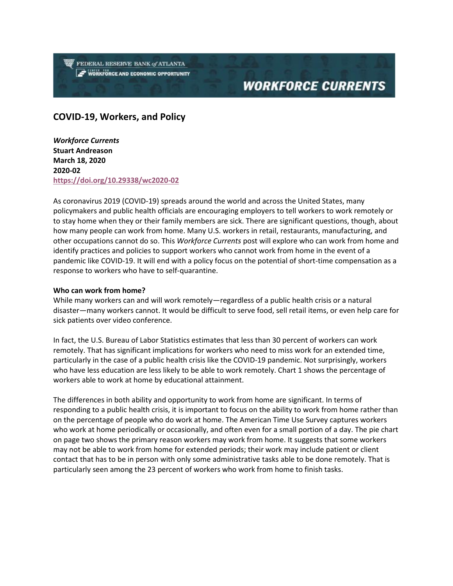FEDERAL RESERVE BANK of ATLANTA **WORKFORCE AND ECONOMIC OPPORTUNITY** 

# **WORKFORCE CURRENTS**

### **COVID-19, Workers, and Policy**

*Workforce Currents*  **Stuart Andreason March 18, 2020 2020-02 <https://doi.org/10.29338/wc2020-02>**

As coronavirus 2019 (COVID-19) spreads around the world and across the United States, many policymakers and public health officials are encouraging employers to tell workers to work remotely or to stay home when they or their family members are sick. There are significant questions, though, about how many people can work from home. Many U.S. workers in retail, restaurants, manufacturing, and other occupations cannot do so. This *Workforce Currents* post will explore who can work from home and identify practices and policies to support workers who cannot work from home in the event of a pandemic like COVID-19. It will end with a policy focus on the potential of short-time compensation as a response to workers who have to self-quarantine.

#### **Who can work from home?**

While many workers can and will work remotely—regardless of a public health crisis or a natural disaster—many workers cannot. It would be difficult to serve food, sell retail items, or even help care for sick patients over video conference.

In fact, the U.S. Bureau of Labor Statistics estimates that less than 30 percent of workers can work remotely. That has significant implications for workers who need to miss work for an extended time, particularly in the case of a public health crisis like the COVID-19 pandemic. Not surprisingly, workers who have less education are less likely to be able to work remotely. Chart 1 shows the percentage of workers able to work at home by educational attainment.

The differences in both ability and opportunity to work from home are significant. In terms of responding to a public health crisis, it is important to focus on the ability to work from home rather than on the percentage of people who do work at home. The American Time Use Survey captures workers who work at home periodically or occasionally, and often even for a small portion of a day. The pie chart on page two shows the primary reason workers may work from home. It suggests that some workers may not be able to work from home for extended periods; their work may include patient or client contact that has to be in person with only some administrative tasks able to be done remotely. That is particularly seen among the 23 percent of workers who work from home to finish tasks.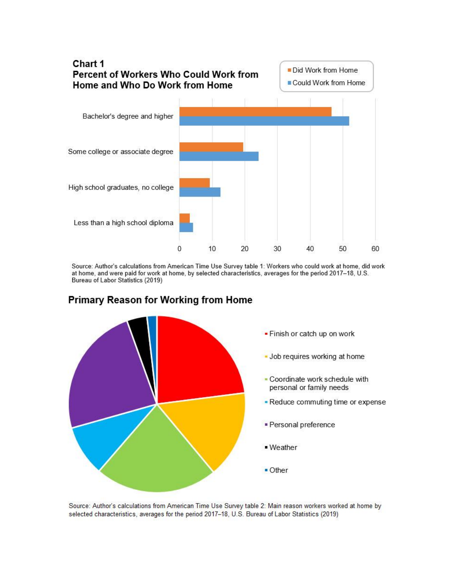

Source: Author's calculations from American Time Use Survey table 1: Workers who could work at home, did work at home, and were paid for work at home, by selected characteristics, averages for the period 2017-18, U.S. Bureau of Labor Statistics (2019)



## **Primary Reason for Working from Home**

Source: Author's calculations from American Time Use Survey table 2: Main reason workers worked at home by selected characteristics, averages for the period 2017-18, U.S. Bureau of Labor Statistics (2019)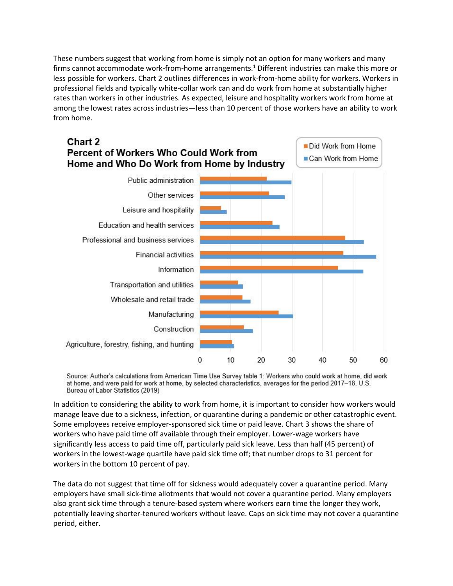These numbers suggest that working from home is simply not an option for many workers and many firms cannot accommodate work-from-home arrangements.<sup>1</sup> Different industries can make this more or less possible for workers. Chart 2 outlines differences in work-from-home ability for workers. Workers in professional fields and typically white-collar work can and do work from home at substantially higher rates than workers in other industries. As expected, leisure and hospitality workers work from home at among the lowest rates across industries—less than 10 percent of those workers have an ability to work from home.



Source: Author's calculations from American Time Use Survey table 1: Workers who could work at home, did work at home, and were paid for work at home, by selected characteristics, averages for the period 2017-18, U.S. Bureau of Labor Statistics (2019)

In addition to considering the ability to work from home, it is important to consider how workers would manage leave due to a sickness, infection, or quarantine during a pandemic or other catastrophic event. Some employees receive employer-sponsored sick time or paid leave. Chart 3 shows the share of workers who have paid time off available through their employer. Lower-wage workers have significantly less access to paid time off, particularly paid sick leave. Less than half (45 percent) of workers in the lowest-wage quartile have paid sick time off; that number drops to 31 percent for workers in the bottom 10 percent of pay.

The data do not suggest that time off for sickness would adequately cover a quarantine period. Many employers have small sick-time allotments that would not cover a quarantine period. Many employers also grant sick time through a tenure-based system where workers earn time the longer they work, potentially leaving shorter-tenured workers without leave. Caps on sick time may not cover a quarantine period, either.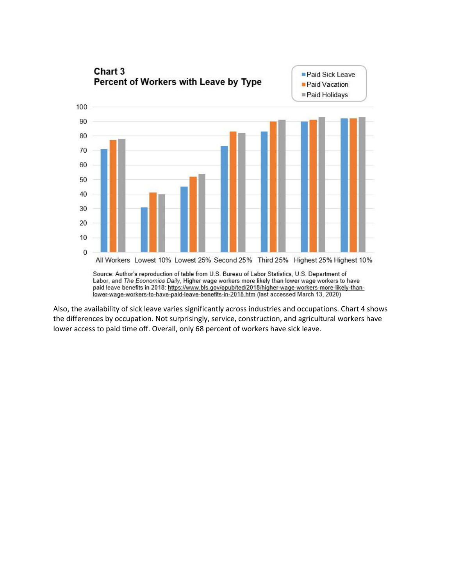![](_page_3_Figure_0.jpeg)

Also, the availability of sick leave varies significantly across industries and occupations. Chart 4 shows the differences by occupation. Not surprisingly, service, construction, and agricultural workers have lower access to paid time off. Overall, only 68 percent of workers have sick leave.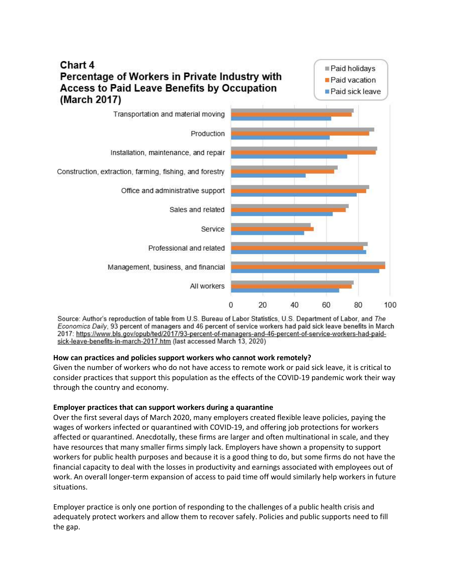![](_page_4_Figure_0.jpeg)

Source: Author's reproduction of table from U.S. Bureau of Labor Statistics, U.S. Department of Labor, and The Economics Daily, 93 percent of managers and 46 percent of service workers had paid sick leave benefits in March 2017: https://www.bls.gov/opub/ted/2017/93-percent-of-managers-and-46-percent-of-service-workers-had-paidsick-leave-benefits-in-march-2017.htm (last accessed March 13, 2020)

#### **How can practices and policies support workers who cannot work remotely?**

Given the number of workers who do not have access to remote work or paid sick leave, it is critical to consider practices that support this population as the effects of the COVID-19 pandemic work their way through the country and economy.

#### **Employer practices that can support workers during a quarantine**

Over the first several days of March 2020, many employers created flexible leave policies, paying the wages of workers infected or quarantined with COVID-19, and offering job protections for workers affected or quarantined. Anecdotally, these firms are larger and often multinational in scale, and they have resources that many smaller firms simply lack. Employers have shown a propensity to support workers for public health purposes and because it is a good thing to do, but some firms do not have the financial capacity to deal with the losses in productivity and earnings associated with employees out of work. An overall longer-term expansion of access to paid time off would similarly help workers in future situations.

Employer practice is only one portion of responding to the challenges of a public health crisis and adequately protect workers and allow them to recover safely. Policies and public supports need to fill the gap.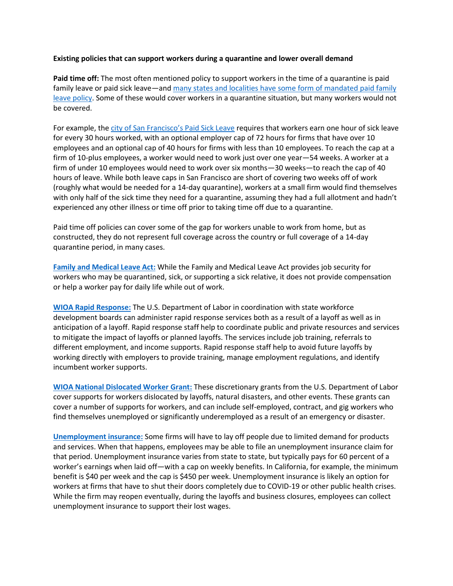#### **Existing policies that can support workers during a quarantine and lower overall demand**

**Paid time off:** The most often mentioned policy to support workers in the time of a quarantine is paid family leave or paid sick leave—and many states and localities have some form of mandated paid family [leave policy.](https://www.ncsl.org/research/labor-and-employment/paid-sick-leave.aspx) Some of these would cover workers in a quarantine situation, but many workers would not be covered.

For example, the c[ity of San Francisco's Paid](https://sfgov.org/olse/paid-sick-leave-ordinance-pslo) Sick Leave requires that workers earn one hour of sick leave for every 30 hours worked, with an optional employer cap of 72 hours for firms that have over 10 employees and an optional cap of 40 hours for firms with less than 10 employees. To reach the cap at a firm of 10-plus employees, a worker would need to work just over one year—54 weeks. A worker at a firm of under 10 employees would need to work over six months—30 weeks—to reach the cap of 40 hours of leave. While both leave caps in San Francisco are short of covering two weeks off of work (roughly what would be needed for a 14-day quarantine), workers at a small firm would find themselves with only half of the sick time they need for a quarantine, assuming they had a full allotment and hadn't experienced any other illness or time off prior to taking time off due to a quarantine.

Paid time off policies can cover some of the gap for workers unable to work from home, but as constructed, they do not represent full coverage across the country or full coverage of a 14-day quarantine period, in many cases.

**[Family and Medical Leave Act:](https://www.dol.gov/agencies/whd/fmla)** While the Family and Medical Leave Act provides job security for workers who may be quarantined, sick, or supporting a sick relative, it does not provide compensation or help a worker pay for daily life while out of work.

**[WIOA Rapid Response:](https://www.dol.gov/agencies/eta/layoffs)** The U.S. Department of Labor in coordination with state workforce development boards can administer rapid response services both as a result of a layoff as well as in anticipation of a layoff. Rapid response staff help to coordinate public and private resources and services to mitigate the impact of layoffs or planned layoffs. The services include job training, referrals to different employment, and income supports. Rapid response staff help to avoid future layoffs by working directly with employers to provide training, manage employment regulations, and identify incumbent worker supports.

**[WIOA National Dislocated Worker Grant:](https://www.dol.gov/agencies/eta/dislocated-workers)** These discretionary grants from the U.S. Department of Labor cover supports for workers dislocated by layoffs, natural disasters, and other events. These grants can cover a number of supports for workers, and can include self-employed, contract, and gig workers who find themselves unemployed or significantly underemployed as a result of an emergency or disaster.

**[Unemployment insurance:](https://oui.doleta.gov/unemploy/aboutui.asp)** Some firms will have to lay off people due to limited demand for products and services. When that happens, employees may be able to file an unemployment insurance claim for that period. Unemployment insurance varies from state to state, but typically pays for 60 percent of a worker's earnings when laid off—with a cap on weekly benefits. In California, for example, the minimum benefit is \$40 per week and the cap is \$450 per week. Unemployment insurance is likely an option for workers at firms that have to shut their doors completely due to COVID-19 or other public health crises. While the firm may reopen eventually, during the layoffs and business closures, employees can collect unemployment insurance to support their lost wages.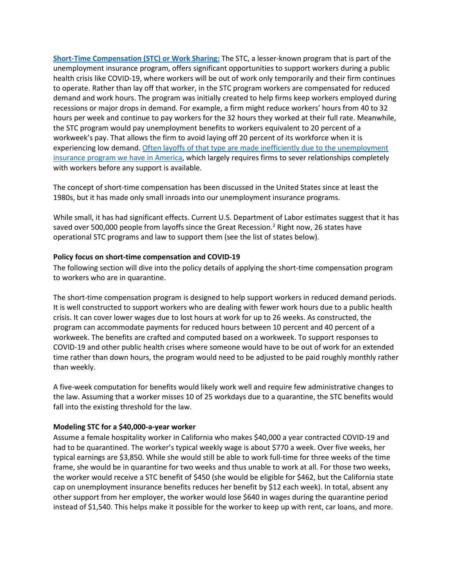**[Short-Time Compensation \(STC\) or Work Sharing:](https://oui.doleta.gov/unemploy/stc.asp)** The STC, a lesser-known program that is part of the unemployment insurance program, offers significant opportunities to support workers during a public health crisis like COVID-19, where workers will be out of work only temporarily and their firm continues to operate. Rather than lay off that worker, in the STC program workers are compensated for reduced demand and work hours. The program was initially created to help firms keep workers employed during recessions or major drops in demand. For example, a firm might reduce workers' hours from 40 to 32 hours per week and continue to pay workers for the 32 hours they worked at their full rate. Meanwhile, the STC program would pay unemployment benefits to workers equivalent to 20 percent of a workweek's pay. That allows the firm to avoid laying off 20 percent of its workforce when it is experiencing low demand[. Often layoffs of that type are made inefficiently due to the unemployment](https://www.jstor.org/stable/1833249?seq=1)  [insurance program we have in America,](https://www.jstor.org/stable/1833249?seq=1) which largely requires firms to sever relationships completely with workers before any support is available.

The concept of short-time compensation has been discussed in the United States since at least the 1980s, but it has made only small inroads into our unemployment insurance programs.

While small, it has had significant effects. Current U.S. Department of Labor estimates suggest that it has saved over 500,000 people from layoffs since the Great Recession.<sup>2</sup> Right now, 26 states have operational STC programs and law to support them (see the list of states below).

#### **Policy focus on short-time compensation and COVID-19**

The following section will dive into the policy details of applying the short-time compensation program to workers who are in quarantine.

The short-time compensation program is designed to help support workers in reduced demand periods. It is well constructed to support workers who are dealing with fewer work hours due to a public health crisis. It can cover lower wages due to lost hours at work for up to 26 weeks. As constructed, the program can accommodate payments for reduced hours between 10 percent and 40 percent of a workweek. The benefits are crafted and computed based on a workweek. To support responses to COVID-19 and other public health crises where someone would have to be out of work for an extended time rather than down hours, the program would need to be adjusted to be paid roughly monthly rather than weekly.

A five-week computation for benefits would likely work well and require few administrative changes to the law. Assuming that a worker misses 10 of 25 workdays due to a quarantine, the STC benefits would fall into the existing threshold for the law.

#### **Modeling STC for a \$40,000-a-year worker**

Assume a female hospitality worker in California who makes \$40,000 a year contracted COVID-19 and had to be quarantined. The worker's typical weekly wage is about \$770 a week. Over five weeks, her typical earnings are \$3,850. While she would still be able to work full-time for three weeks of the time frame, she would be in quarantine for two weeks and thus unable to work at all. For those two weeks, the worker would receive a STC benefit of \$450 (she would be eligible for \$462, but the California state cap on unemployment insurance benefits reduces her benefit by \$12 each week). In total, absent any other support from her employer, the worker would lose \$640 in wages during the quarantine period instead of \$1,540. This helps make it possible for the worker to keep up with rent, car loans, and more.